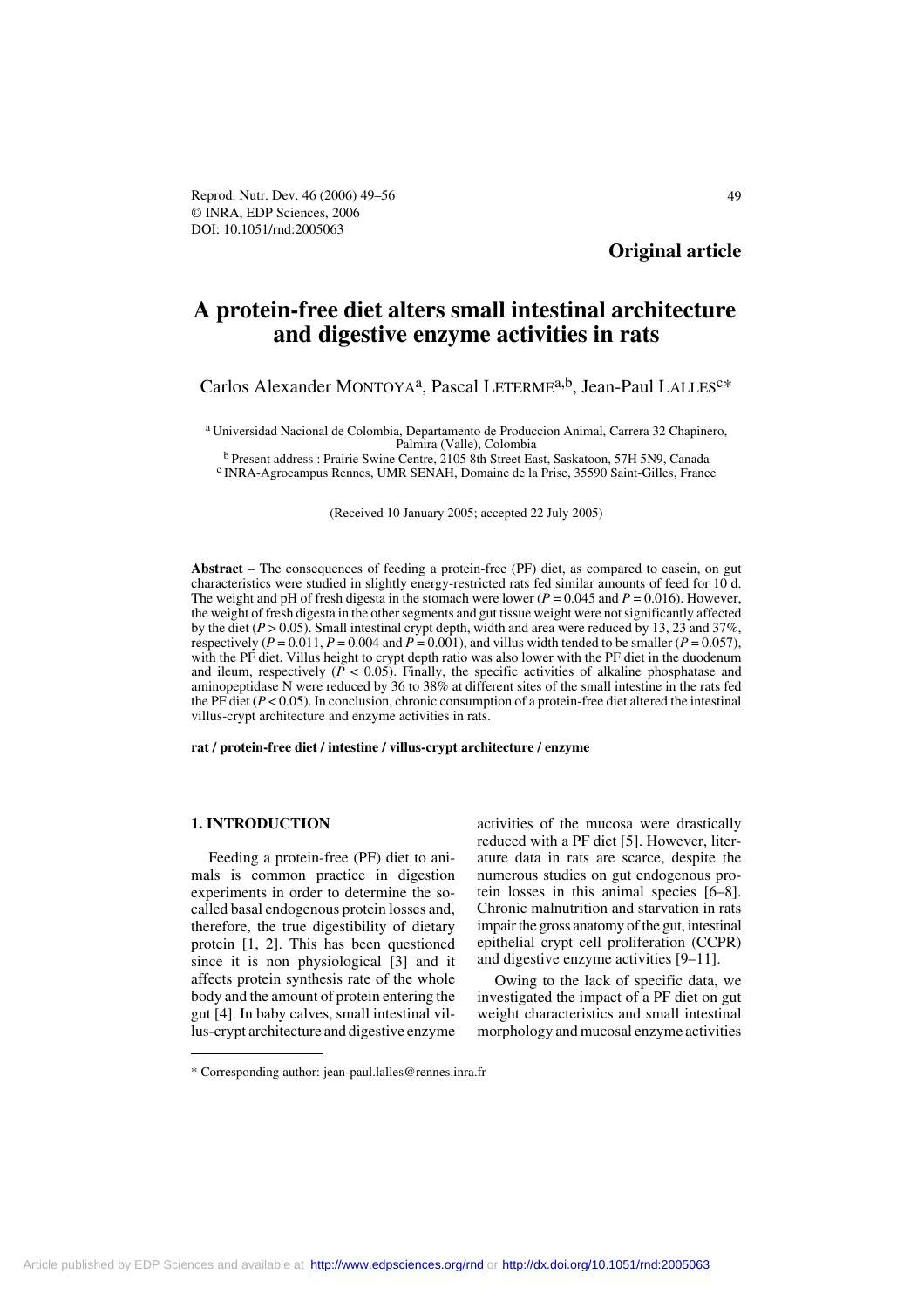Reprod. Nutr. Dev. 46 (2006) 49–56 49 © INRA, EDP Sciences, 2006 DOI: 10.1051/rnd:2005063

**Original article**

# **A protein-free diet alters small intestinal architecture and digestive enzyme activities in rats**

# Carlos Alexander MONTOYA<sup>a</sup>, Pascal LETERME<sup>a,b</sup>, Jean-Paul LALLES<sup>c\*</sup>

a Universidad Nacional de Colombia, Departamento de Produccion Animal, Carrera 32 Chapinero, Palmira (Valle), Colombia<br><sup>b</sup> Present address : Prairie Swine Centre, 2105 8th Street East, Saskatoon, 57H 5N9, Canada

 $^{\rm c}$  INRA-Agrocampus Rennes, UMR SENAH, Domaine de la Prise, 35590 Saint-Gilles, France

(Received 10 January 2005; accepted 22 July 2005)

**Abstract** – The consequences of feeding a protein-free (PF) diet, as compared to casein, on gut characteristics were studied in slightly energy-restricted rats fed similar amounts of feed for 10 d. The weight and pH of fresh digesta in the stomach were lower ( $P = 0.045$  and  $P = 0.016$ ). However, the weight of fresh digesta in the other segments and gut tissue weight were not significantly affected by the diet (*P* > 0.05). Small intestinal crypt depth, width and area were reduced by 13, 23 and 37%, respectively ( $P = 0.011$ ,  $P = 0.004$  and  $P = 0.001$ ), and villus width tended to be smaller ( $P = 0.057$ ), with the PF diet. Villus height to crypt depth ratio was also lower with the PF diet in the duodenum and ileum, respectively  $(\overline{P} < 0.05)$ . Finally, the specific activities of alkaline phosphatase and aminopeptidase N were reduced by 36 to 38% at different sites of the small intestine in the rats fed the PF diet  $(P < 0.05)$ . In conclusion, chronic consumption of a protein-free diet altered the intestinal villus-crypt architecture and enzyme activities in rats.

#### **rat / protein-free diet / intestine / villus-crypt architecture / enzyme**

# **1. INTRODUCTION**

Feeding a protein-free (PF) diet to animals is common practice in digestion experiments in order to determine the socalled basal endogenous protein losses and, therefore, the true digestibility of dietary protein [1, 2]. This has been questioned since it is non physiological [3] and it affects protein synthesis rate of the whole body and the amount of protein entering the gut [4]. In baby calves, small intestinal villus-crypt architecture and digestive enzyme

activities of the mucosa were drastically reduced with a PF diet [5]. However, literature data in rats are scarce, despite the numerous studies on gut endogenous protein losses in this animal species [6–8]. Chronic malnutrition and starvation in rats impair the gross anatomy of the gut, intestinal epithelial crypt cell proliferation (CCPR) and digestive enzyme activities [9–11].

Owing to the lack of specific data, we investigated the impact of a PF diet on gut weight characteristics and small intestinal morphology and mucosal enzyme activities

<sup>\*</sup> Corresponding author: jean-paul.lalles@rennes.inra.fr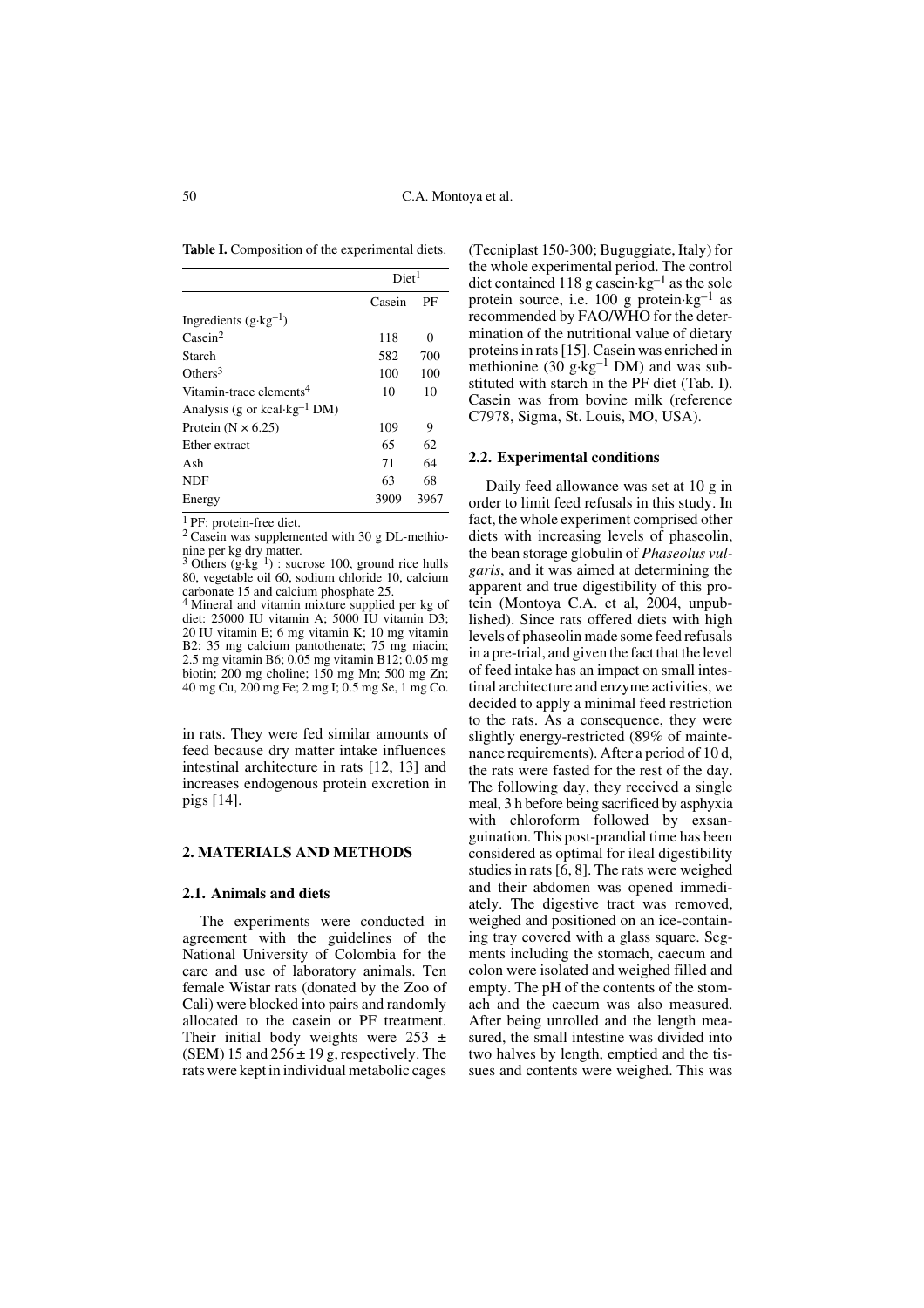Table I. Composition of the experimental diets.

|                                          | Diet <sup>1</sup> |          |
|------------------------------------------|-------------------|----------|
|                                          | Casein            | PF       |
| Ingredients $(g \cdot kg^{-1})$          |                   |          |
| $\text{Case} \text{in}^2$                | 118               | $\theta$ |
| Starch                                   | 582               | 700      |
| Others <sup>3</sup>                      | 100               | 100      |
| Vitamin-trace elements <sup>4</sup>      | 10                | 10       |
| Analysis (g or kcal·kg <sup>-1</sup> DM) |                   |          |
| Protein ( $N \times 6.25$ )              | 109               | 9        |
| Ether extract                            | 65                | 62       |
| Ash                                      | 71                | 64       |
| <b>NDF</b>                               | 63                | 68       |
| Energy                                   | 3909              | 3967     |

1 PF: protein-free diet.

2 Casein was supplemented with 30 g DL-methio-

nine per kg dry matter.<br><sup>3</sup> Others (g·kg<sup>-1</sup>) : sucrose 100, ground rice hulls 80, vegetable oil 60, sodium chloride 10, calcium

carbonate 15 and calcium phosphate 25. 4 Mineral and vitamin mixture supplied per kg of diet: 25000 IU vitamin A; 5000 IU vitamin D3; 20 IU vitamin E; 6 mg vitamin K; 10 mg vitamin B2; 35 mg calcium pantothenate; 75 mg niacin; 2.5 mg vitamin B6; 0.05 mg vitamin B12; 0.05 mg biotin; 200 mg choline; 150 mg Mn; 500 mg Zn; 40 mg Cu, 200 mg Fe; 2 mg I; 0.5 mg Se, 1 mg Co.

in rats. They were fed similar amounts of feed because dry matter intake influences intestinal architecture in rats [12, 13] and increases endogenous protein excretion in pigs [14].

## **2. MATERIALS AND METHODS**

#### **2.1. Animals and diets**

The experiments were conducted in agreement with the guidelines of the National University of Colombia for the care and use of laboratory animals. Ten female Wistar rats (donated by the Zoo of Cali) were blocked into pairs and randomly allocated to the casein or PF treatment. Their initial body weights were  $253 \pm$ (SEM) 15 and  $256 \pm 19$  g, respectively. The rats were kept in individual metabolic cages

(Tecniplast 150-300; Buguggiate, Italy) for the whole experimental period. The control diet contained 118 g casein $\text{kg}^{-1}$  as the sole protein source, i.e.  $100 \text{ g}$  protein $\text{kg}^{-1}$  as recommended by FAO/WHO for the determination of the nutritional value of dietary proteins in rats [15]. Casein was enriched in methionine  $(30 \text{ g} \cdot \text{kg}^{-1} \text{ DM})$  and was substituted with starch in the PF diet (Tab. I). Casein was from bovine milk (reference C7978, Sigma, St. Louis, MO, USA).

#### **2.2. Experimental conditions**

Daily feed allowance was set at 10 g in order to limit feed refusals in this study. In fact, the whole experiment comprised other diets with increasing levels of phaseolin, the bean storage globulin of *Phaseolus vulgaris*, and it was aimed at determining the apparent and true digestibility of this protein (Montoya C.A. et al, 2004, unpublished). Since rats offered diets with high levels of phaseolin made some feed refusals in a pre-trial, and given the fact that the level of feed intake has an impact on small intestinal architecture and enzyme activities, we decided to apply a minimal feed restriction to the rats. As a consequence, they were slightly energy-restricted (89% of maintenance requirements). After a period of 10 d, the rats were fasted for the rest of the day. The following day, they received a single meal, 3 h before being sacrificed by asphyxia with chloroform followed by exsanguination. This post-prandial time has been considered as optimal for ileal digestibility studies in rats [6, 8]. The rats were weighed and their abdomen was opened immediately. The digestive tract was removed, weighed and positioned on an ice-containing tray covered with a glass square. Segments including the stomach, caecum and colon were isolated and weighed filled and empty. The pH of the contents of the stomach and the caecum was also measured. After being unrolled and the length measured, the small intestine was divided into two halves by length, emptied and the tissues and contents were weighed. This was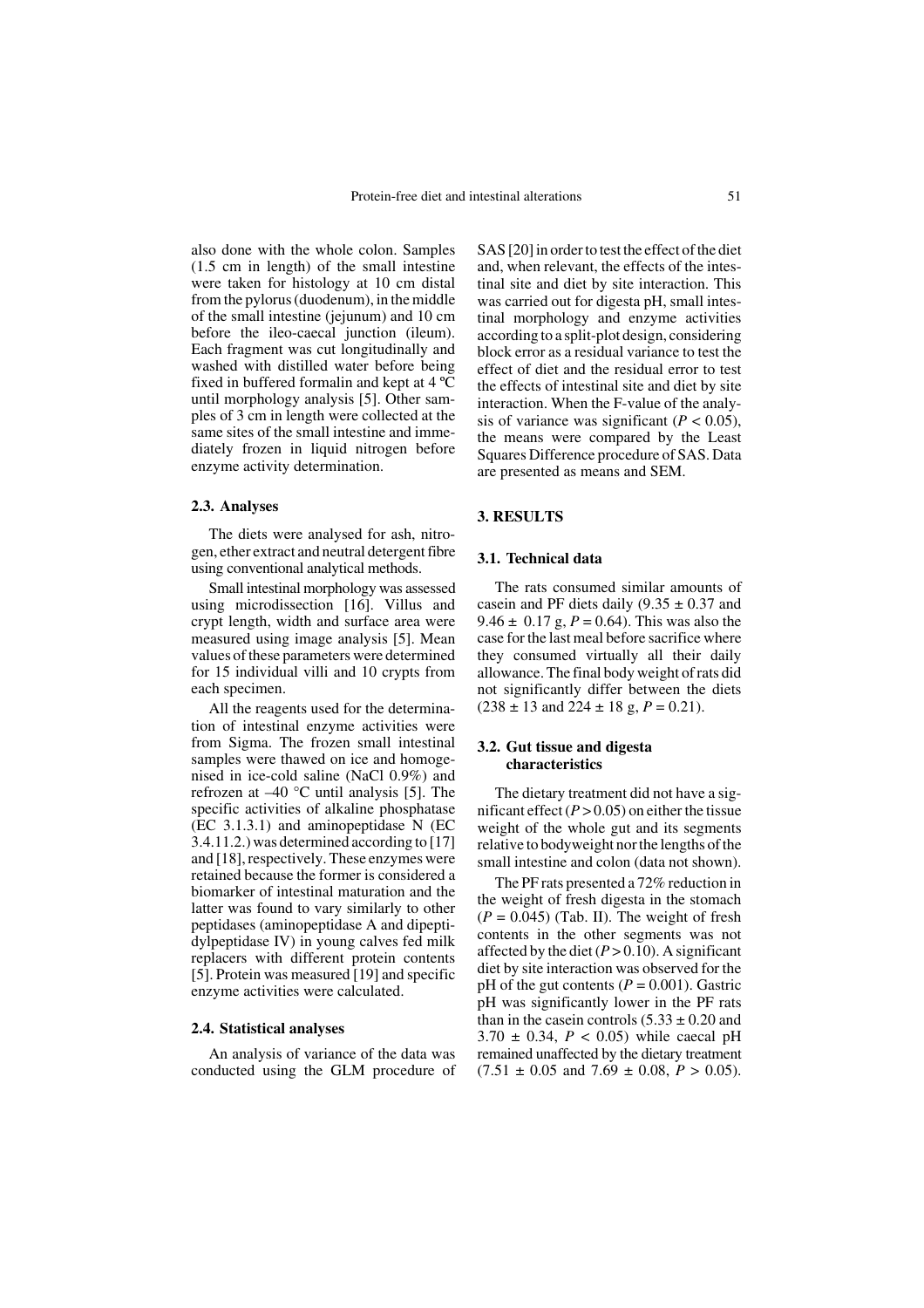also done with the whole colon. Samples (1.5 cm in length) of the small intestine were taken for histology at 10 cm distal from the pylorus (duodenum), in the middle of the small intestine (jejunum) and 10 cm before the ileo-caecal junction (ileum). Each fragment was cut longitudinally and washed with distilled water before being fixed in buffered formalin and kept at 4 ºC until morphology analysis [5]. Other samples of 3 cm in length were collected at the same sites of the small intestine and immediately frozen in liquid nitrogen before enzyme activity determination.

#### **2.3. Analyses**

The diets were analysed for ash, nitrogen, ether extract and neutral detergent fibre using conventional analytical methods.

Small intestinal morphology was assessed using microdissection [16]. Villus and crypt length, width and surface area were measured using image analysis [5]. Mean values of these parameters were determined for 15 individual villi and 10 crypts from each specimen.

All the reagents used for the determination of intestinal enzyme activities were from Sigma. The frozen small intestinal samples were thawed on ice and homogenised in ice-cold saline (NaCl 0.9%) and refrozen at –40 °C until analysis [5]. The specific activities of alkaline phosphatase  $(EC 3.1.3.1)$  and aminopeptidase N  $(EC)$ 3.4.11.2.) was determined according to [17] and [18], respectively. These enzymes were retained because the former is considered a biomarker of intestinal maturation and the latter was found to vary similarly to other peptidases (aminopeptidase A and dipeptidylpeptidase IV) in young calves fed milk replacers with different protein contents [5]. Protein was measured [19] and specific enzyme activities were calculated.

#### **2.4. Statistical analyses**

An analysis of variance of the data was conducted using the GLM procedure of SAS [20] in order to test the effect of the diet and, when relevant, the effects of the intestinal site and diet by site interaction. This was carried out for digesta pH, small intestinal morphology and enzyme activities according to a split-plot design, considering block error as a residual variance to test the effect of diet and the residual error to test the effects of intestinal site and diet by site interaction. When the F-value of the analysis of variance was significant  $(P < 0.05)$ , the means were compared by the Least Squares Difference procedure of SAS. Data are presented as means and SEM.

## **3. RESULTS**

## **3.1. Technical data**

The rats consumed similar amounts of casein and PF diets daily  $(9.35 \pm 0.37)$  and 9.46  $\pm$  0.17 g,  $P = 0.64$ ). This was also the case for the last meal before sacrifice where they consumed virtually all their daily allowance. The final body weight of rats did not significantly differ between the diets  $(238 \pm 13 \text{ and } 224 \pm 18 \text{ g}, P = 0.21).$ 

# **3.2. Gut tissue and digesta characteristics**

The dietary treatment did not have a significant effect  $(P > 0.05)$  on either the tissue weight of the whole gut and its segments relative to bodyweight nor the lengths of the small intestine and colon (data not shown).

The PF rats presented a 72% reduction in the weight of fresh digesta in the stomach  $(P = 0.045)$  (Tab. II). The weight of fresh contents in the other segments was not affected by the diet  $(P > 0.10)$ . A significant diet by site interaction was observed for the pH of the gut contents  $(P = 0.001)$ . Gastric pH was significantly lower in the PF rats than in the case in controls  $(5.33 \pm 0.20)$  and  $3.70 \pm 0.34$ ,  $P < 0.05$ ) while caecal pH remained unaffected by the dietary treatment  $(7.51 \pm 0.05 \text{ and } 7.69 \pm 0.08, P > 0.05).$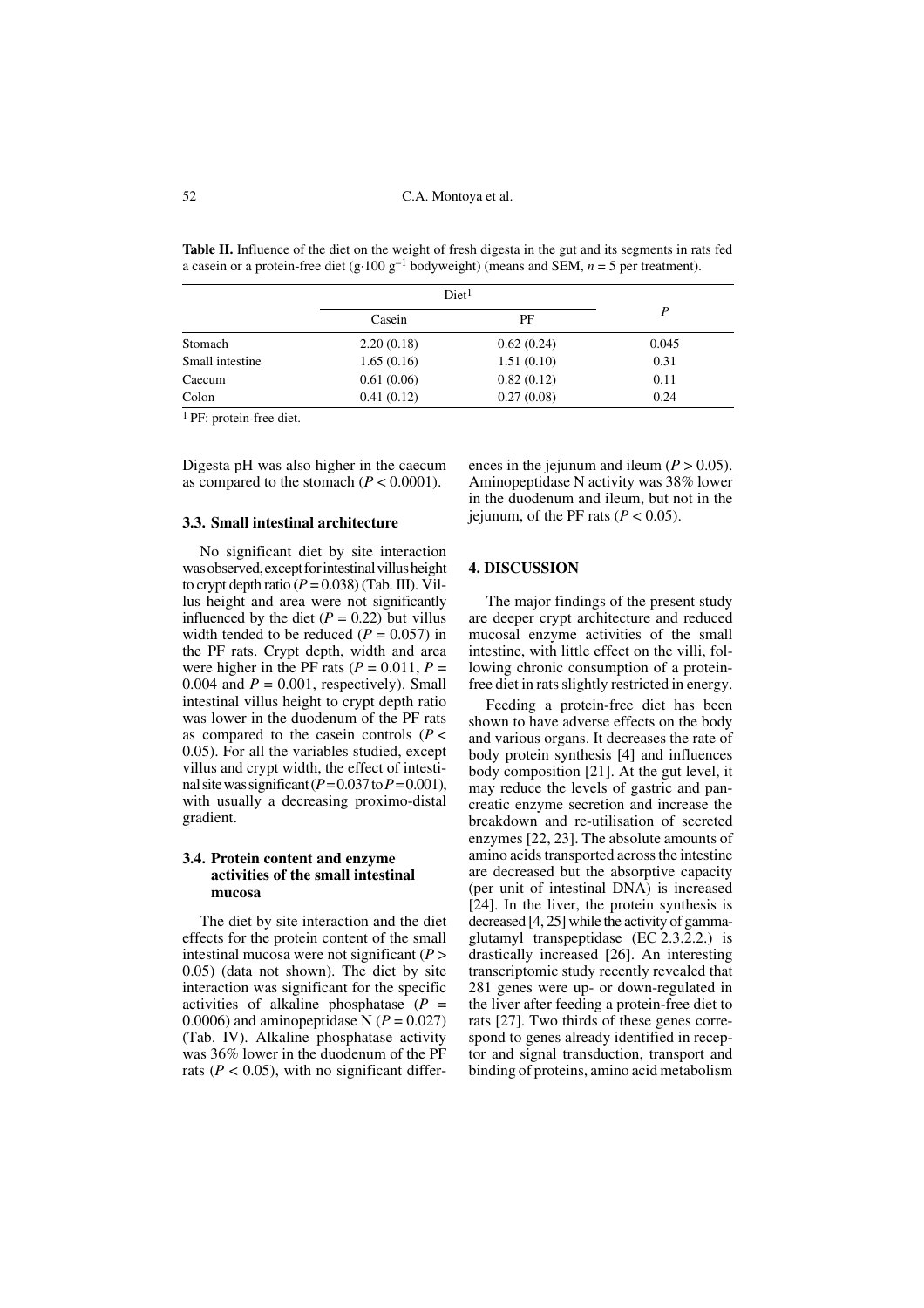**Table II.** Influence of the diet on the weight of fresh digesta in the gut and its segments in rats fed a casein or a protein-free diet (g·100  $g^{-1}$  bodyweight) (means and SEM,  $n = 5$  per treatment).

|                 |            | Diet <sup>1</sup> |       |
|-----------------|------------|-------------------|-------|
|                 | Casein     | PF                | P     |
| Stomach         | 2.20(0.18) | 0.62(0.24)        | 0.045 |
| Small intestine | 1.65(0.16) | 1.51(0.10)        | 0.31  |
| Caecum          | 0.61(0.06) | 0.82(0.12)        | 0.11  |
| Colon           | 0.41(0.12) | 0.27(0.08)        | 0.24  |

<sup>1</sup> PF: protein-free diet.

Digesta pH was also higher in the caecum as compared to the stomach  $(P < 0.0001)$ .

#### **3.3. Small intestinal architecture**

No significant diet by site interaction was observed, except for intestinal villus height to crypt depth ratio  $(P = 0.038)$  (Tab. III). Villus height and area were not significantly influenced by the diet  $(P = 0.22)$  but villus width tended to be reduced  $(P = 0.057)$  in the PF rats. Crypt depth, width and area were higher in the PF rats ( $P = 0.011$ ,  $P =$ 0.004 and  $P = 0.001$ , respectively). Small intestinal villus height to crypt depth ratio was lower in the duodenum of the PF rats as compared to the case in controls  $(P <$ 0.05). For all the variables studied, except villus and crypt width, the effect of intestinal site was significant ( $P = 0.037$  to  $P = 0.001$ ), with usually a decreasing proximo-distal gradient.

# **3.4. Protein content and enzyme activities of the small intestinal mucosa**

The diet by site interaction and the diet effects for the protein content of the small intestinal mucosa were not significant (*P* > 0.05) (data not shown). The diet by site interaction was significant for the specific activities of alkaline phosphatase (*P* = 0.0006) and aminopeptidase N  $(P = 0.027)$ (Tab. IV). Alkaline phosphatase activity was 36% lower in the duodenum of the PF rats ( $P < 0.05$ ), with no significant differ-

ences in the jejunum and ileum  $(P > 0.05)$ . Aminopeptidase N activity was 38% lower in the duodenum and ileum, but not in the jejunum, of the PF rats  $(P < 0.05)$ .

#### **4. DISCUSSION**

The major findings of the present study are deeper crypt architecture and reduced mucosal enzyme activities of the small intestine, with little effect on the villi, following chronic consumption of a proteinfree diet in rats slightly restricted in energy.

Feeding a protein-free diet has been shown to have adverse effects on the body and various organs. It decreases the rate of body protein synthesis [4] and influences body composition [21]. At the gut level, it may reduce the levels of gastric and pancreatic enzyme secretion and increase the breakdown and re-utilisation of secreted enzymes [22, 23]. The absolute amounts of amino acids transported across the intestine are decreased but the absorptive capacity (per unit of intestinal DNA) is increased [24]. In the liver, the protein synthesis is decreased [4, 25] while the activity of gammaglutamyl transpeptidase (EC 2.3.2.2.) is drastically increased [26]. An interesting transcriptomic study recently revealed that 281 genes were up- or down-regulated in the liver after feeding a protein-free diet to rats [27]. Two thirds of these genes correspond to genes already identified in receptor and signal transduction, transport and binding of proteins, amino acid metabolism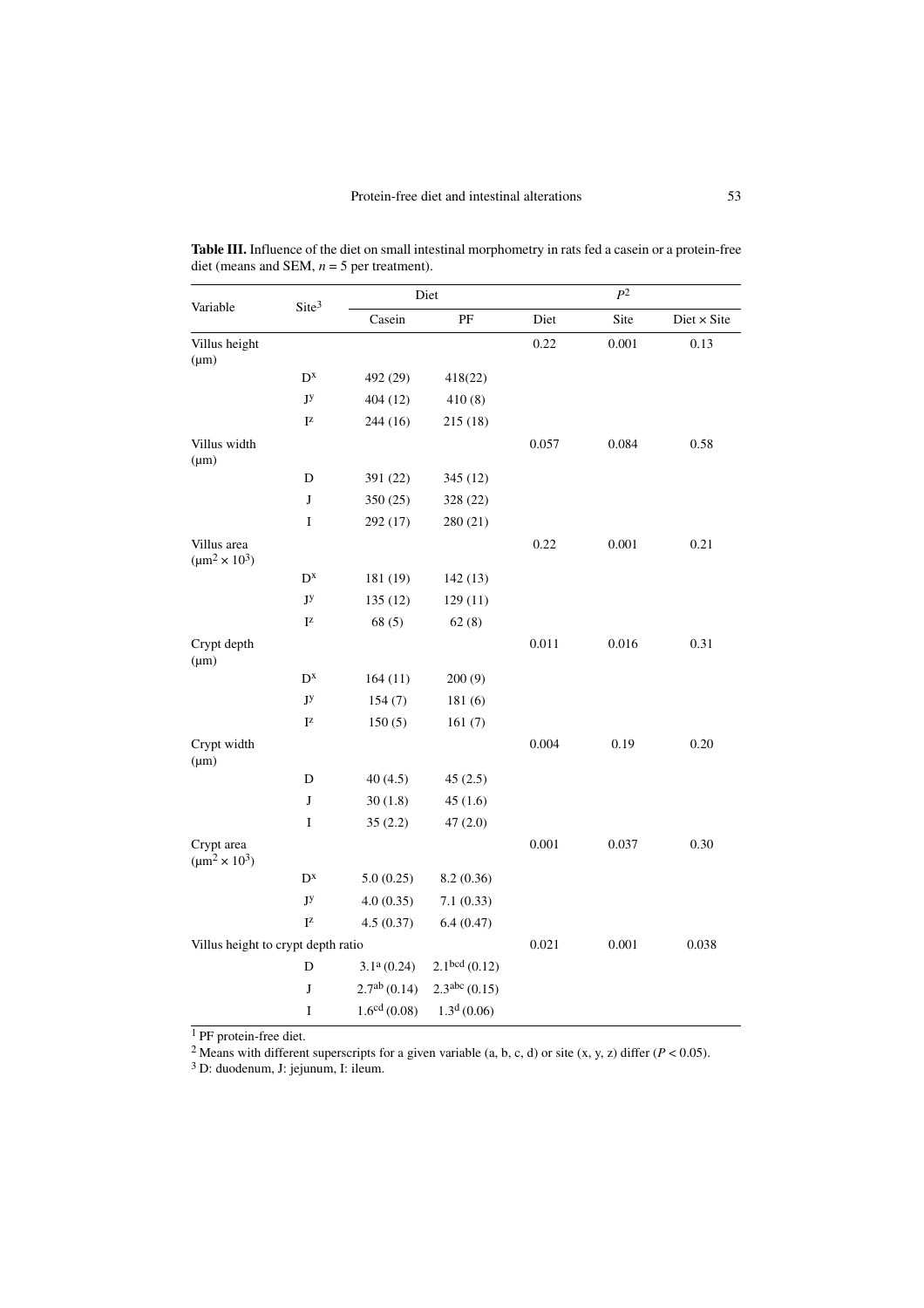| Variable                               | Site <sup>3</sup>         | Diet                     |                           | $P^2$ |       |                    |
|----------------------------------------|---------------------------|--------------------------|---------------------------|-------|-------|--------------------|
|                                        |                           | Casein                   | $\rm PF$                  | Diet  | Site  | $Dict \times Site$ |
| Villus height<br>$(\mu m)$             |                           |                          |                           | 0.22  | 0.001 | 0.13               |
|                                        | $D^{x}$                   | 492 (29)                 | 418(22)                   |       |       |                    |
|                                        | JУ                        | 404(12)                  | 410(8)                    |       |       |                    |
|                                        | $\mathbf{I}^\mathbf{Z}$   | 244(16)                  | 215 (18)                  |       |       |                    |
| Villus width<br>$(\mu m)$              |                           |                          |                           | 0.057 | 0.084 | 0.58               |
|                                        | $\mathbf D$               | 391 (22)                 | 345 (12)                  |       |       |                    |
|                                        | J                         | 350 (25)                 | 328 (22)                  |       |       |                    |
|                                        | $\rm I$                   | 292 (17)                 | 280 (21)                  |       |       |                    |
| Villus area<br>$(\mu m^2 \times 10^3)$ |                           |                          |                           | 0.22  | 0.001 | 0.21               |
|                                        | $D^{x}$                   | 181 (19)                 | 142(13)                   |       |       |                    |
|                                        | JУ                        | 135(12)                  | 129(11)                   |       |       |                    |
|                                        | $I^z$                     | 68(5)                    | 62(8)                     |       |       |                    |
| Crypt depth<br>$(\mu m)$               |                           |                          |                           | 0.011 | 0.016 | 0.31               |
|                                        | $D^{x}$                   | 164(11)                  | 200(9)                    |       |       |                    |
|                                        | JУ                        | 154(7)                   | 181(6)                    |       |       |                    |
|                                        | $I^z$                     | 150(5)                   | 161(7)                    |       |       |                    |
| Crypt width<br>$(\mu m)$               |                           |                          |                           | 0.004 | 0.19  | 0.20               |
|                                        | D                         | 40(4.5)                  | 45(2.5)                   |       |       |                    |
|                                        | $\bf J$                   | 30(1.8)                  | 45(1.6)                   |       |       |                    |
|                                        | $\rm I$                   | 35(2.2)                  | 47(2.0)                   |       |       |                    |
| Crypt area<br>$(\mu m^2 \times 10^3)$  |                           |                          |                           | 0.001 | 0.037 | 0.30               |
|                                        | $D^{x}$                   | 5.0(0.25)                | 8.2 (0.36)                |       |       |                    |
|                                        | $\mathbf{J}^{\mathbf{y}}$ | 4.0(0.35)                | 7.1(0.33)                 |       |       |                    |
|                                        | $I^z$                     | 4.5(0.37)                | 6.4(0.47)                 |       |       |                    |
| Villus height to crypt depth ratio     |                           | 0.021                    | 0.001                     | 0.038 |       |                    |
|                                        | D                         | 3.1 <sup>a</sup> (0.24)  | 2.1 <sup>bcd</sup> (0.12) |       |       |                    |
|                                        | $\bf J$                   | $2.7^{ab}$ (0.14)        | 2.3 <sup>abc</sup> (0.15) |       |       |                    |
|                                        | I                         | 1.6 <sup>cd</sup> (0.08) | 1.3 <sup>d</sup> (0.06)   |       |       |                    |

**Table III.** Influence of the diet on small intestinal morphometry in rats fed a casein or a protein-free diet (means and SEM, *n* = 5 per treatment).

<sup>1</sup> PF protein-free diet.

<sup>2</sup> Means with different superscripts for a given variable (a, b, c, d) or site (x, y, z) differ ( $P < 0.05$ ).

<sup>3</sup> D: duodenum, J: jejunum, I: ileum.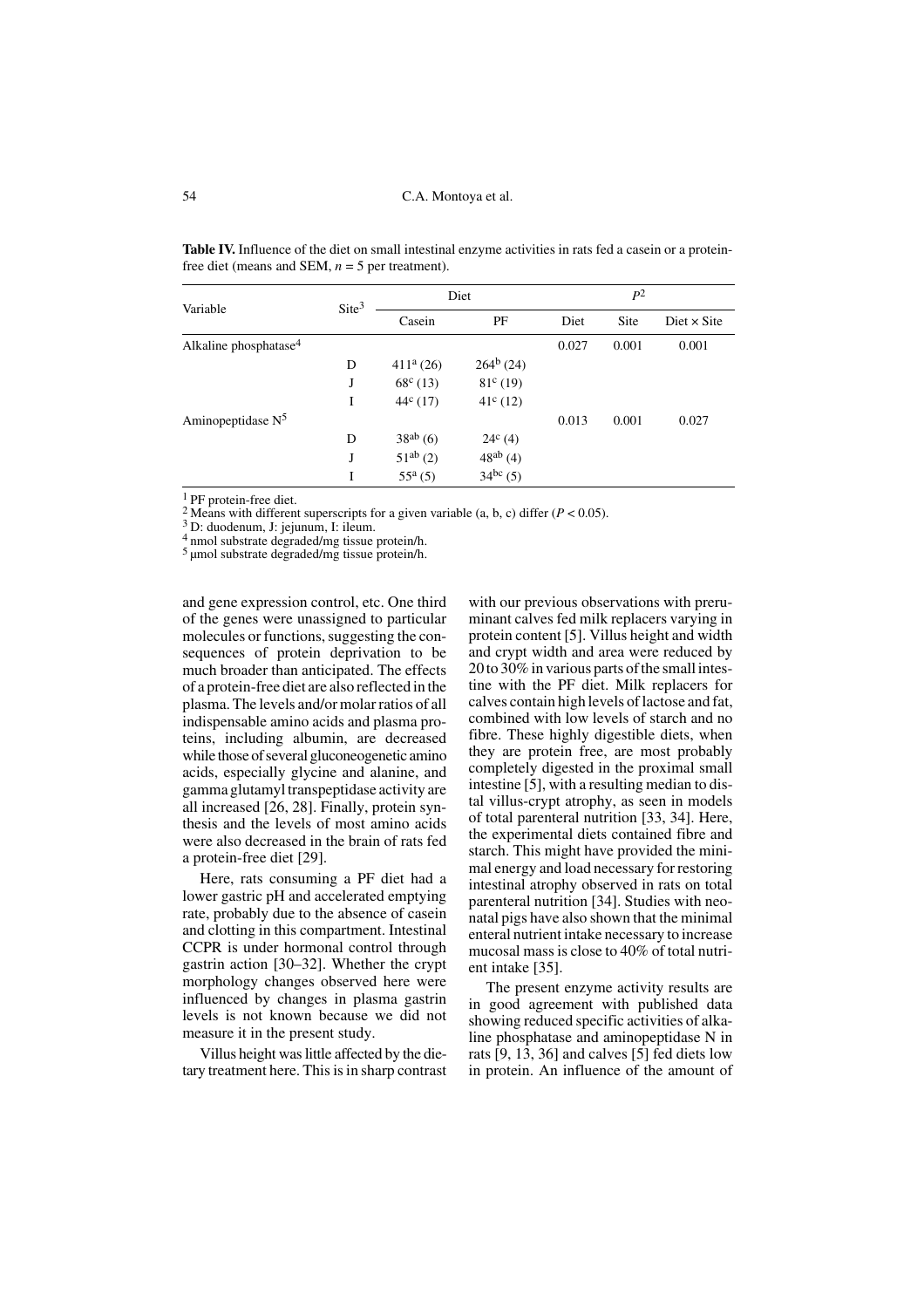Variable Site<sup>3</sup> Diet  $P^2$ Casein PF Diet Site Diet × Site Alkaline phosphatase<sup>4</sup> 0.027 0.001 0.001 0.001 D  $411^a (26)$   $264^b (24)$ J  $68^c (13)$   $81^c (19)$ I  $44^c (17)$   $41^c (12)$ Aminopeptidase  $N^5$  0.013 0.001 0.027 D  $38^{ab} (6)$   $24^c (4)$  $J = 51^{ab} (2)$  48<sup>ab</sup> (4) I  $55^a(5)$   $34^{bc}(5)$ 

**Table IV.** Influence of the diet on small intestinal enzyme activities in rats fed a casein or a proteinfree diet (means and SEM,  $n = 5$  per treatment).

1 PF protein-free diet.

<sup>2</sup> Means with different superscripts for a given variable (a, b, c) differ ( $P < 0.05$ ).

3 D: duodenum, J: jejunum, I: ileum.

4 nmol substrate degraded/mg tissue protein/h.

<sup>5</sup> umol substrate degraded/mg tissue protein/h.

and gene expression control, etc. One third of the genes were unassigned to particular molecules or functions, suggesting the consequences of protein deprivation to be much broader than anticipated. The effects of a protein-free diet are also reflected in the plasma. The levels and/or molar ratios of all indispensable amino acids and plasma proteins, including albumin, are decreased while those of several gluconeogenetic amino acids, especially glycine and alanine, and gamma glutamyl transpeptidase activity are all increased [26, 28]. Finally, protein synthesis and the levels of most amino acids were also decreased in the brain of rats fed a protein-free diet [29].

Here, rats consuming a PF diet had a lower gastric pH and accelerated emptying rate, probably due to the absence of casein and clotting in this compartment. Intestinal CCPR is under hormonal control through gastrin action [30–32]. Whether the crypt morphology changes observed here were influenced by changes in plasma gastrin levels is not known because we did not measure it in the present study.

Villus height was little affected by the dietary treatment here. This is in sharp contrast with our previous observations with preruminant calves fed milk replacers varying in protein content [5]. Villus height and width and crypt width and area were reduced by 20 to 30% in various parts of the small intestine with the PF diet. Milk replacers for calves contain high levels of lactose and fat, combined with low levels of starch and no fibre. These highly digestible diets, when they are protein free, are most probably completely digested in the proximal small intestine [5], with a resulting median to distal villus-crypt atrophy, as seen in models of total parenteral nutrition [33, 34]. Here, the experimental diets contained fibre and starch. This might have provided the minimal energy and load necessary for restoring intestinal atrophy observed in rats on total parenteral nutrition [34]. Studies with neonatal pigs have also shown that the minimal enteral nutrient intake necessary to increase mucosal mass is close to 40% of total nutrient intake [35].

The present enzyme activity results are in good agreement with published data showing reduced specific activities of alkaline phosphatase and aminopeptidase N in rats [9, 13, 36] and calves [5] fed diets low in protein. An influence of the amount of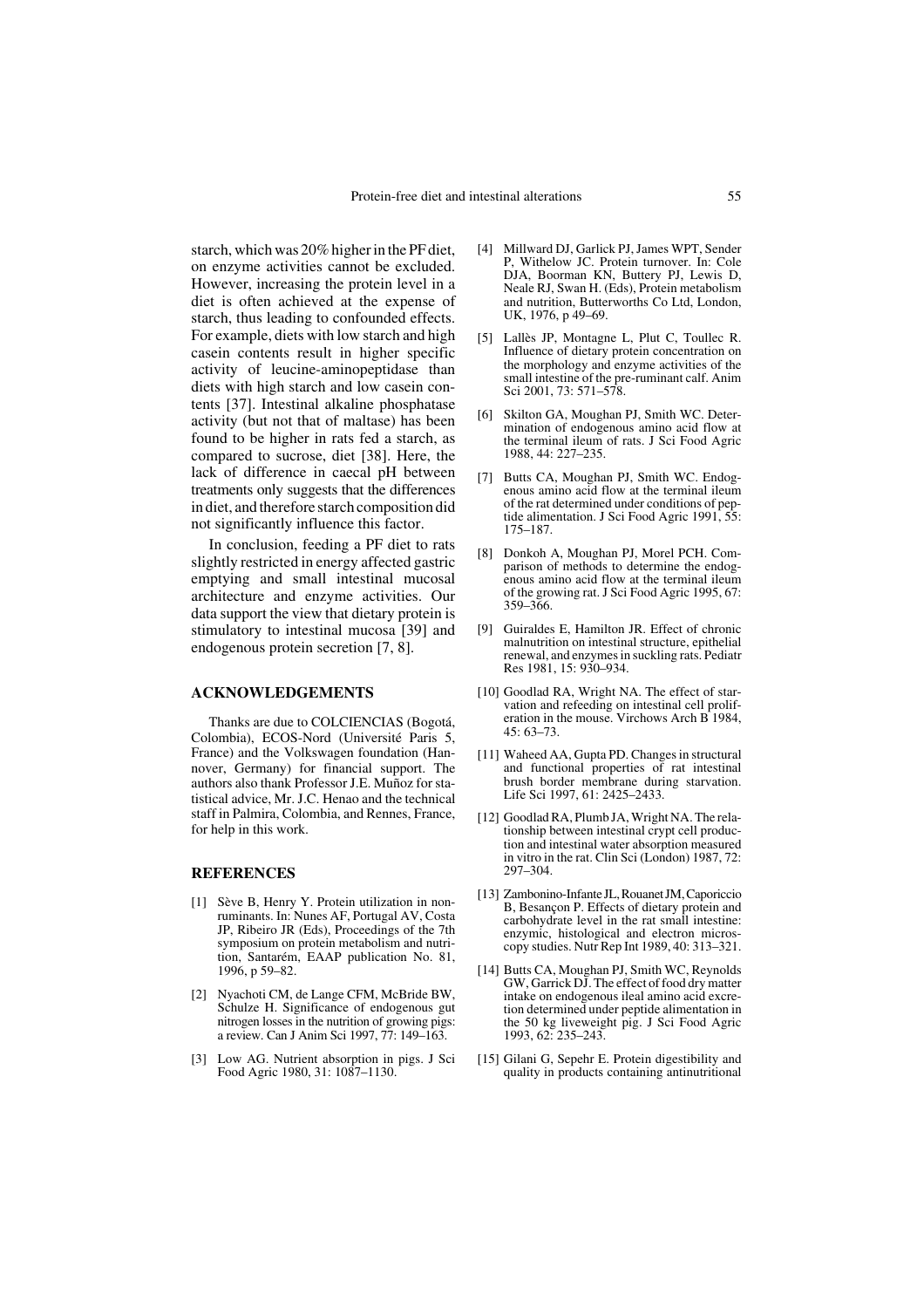starch, which was 20% higher in the PF diet, on enzyme activities cannot be excluded. However, increasing the protein level in a diet is often achieved at the expense of starch, thus leading to confounded effects. For example, diets with low starch and high casein contents result in higher specific activity of leucine-aminopeptidase than diets with high starch and low casein contents [37]. Intestinal alkaline phosphatase activity (but not that of maltase) has been found to be higher in rats fed a starch, as compared to sucrose, diet [38]. Here, the lack of difference in caecal pH between treatments only suggests that the differences in diet, and therefore starch composition did not significantly influence this factor.

In conclusion, feeding a PF diet to rats slightly restricted in energy affected gastric emptying and small intestinal mucosal architecture and enzyme activities. Our data support the view that dietary protein is stimulatory to intestinal mucosa [39] and endogenous protein secretion [7, 8].

### **ACKNOWLEDGEMENTS**

Thanks are due to COLCIENCIAS (Bogotá, Colombia), ECOS-Nord (Université Paris 5, France) and the Volkswagen foundation (Hannover, Germany) for financial support. The authors also thank Professor J.E. Muñoz for statistical advice, Mr. J.C. Henao and the technical staff in Palmira, Colombia, and Rennes, France, for help in this work.

# **REFERENCES**

- [1] Sève B, Henry Y. Protein utilization in nonruminants. In: Nunes AF, Portugal AV, Costa JP, Ribeiro JR (Eds), Proceedings of the 7th symposium on protein metabolism and nutrition, Santarém, EAAP publication No. 81, 1996, p 59–82.
- [2] Nyachoti CM, de Lange CFM, McBride BW, Schulze H. Significance of endogenous gut nitrogen losses in the nutrition of growing pigs: a review. Can J Anim Sci 1997, 77: 149–163.
- [3] Low AG. Nutrient absorption in pigs. J Sci Food Agric 1980, 31: 1087–1130.
- [4] Millward DJ, Garlick PJ, James WPT, Sender P, Withelow JC. Protein turnover. In: Cole DJA, Boorman KN, Buttery PJ, Lewis D, Neale RJ, Swan H. (Eds), Protein metabolism and nutrition, Butterworths Co Ltd, London, UK, 1976, p 49–69.
- [5] Lallès JP, Montagne L, Plut C, Toullec R. Influence of dietary protein concentration on the morphology and enzyme activities of the small intestine of the pre-ruminant calf. Anim Sci 2001, 73: 571–578.
- [6] Skilton GA, Moughan PJ, Smith WC. Determination of endogenous amino acid flow at the terminal ileum of rats. J Sci Food Agric 1988, 44: 227–235.
- [7] Butts CA, Moughan PJ, Smith WC. Endogenous amino acid flow at the terminal ileum of the rat determined under conditions of peptide alimentation. J Sci Food Agric 1991, 55: 175–187.
- [8] Donkoh A, Moughan PJ, Morel PCH. Comparison of methods to determine the endogenous amino acid flow at the terminal ileum of the growing rat. J Sci Food Agric 1995, 67: 359–366.
- [9] Guiraldes E, Hamilton JR. Effect of chronic malnutrition on intestinal structure, epithelial renewal, and enzymes in suckling rats. Pediatr Res 1981, 15: 930–934.
- [10] Goodlad RA, Wright NA. The effect of starvation and refeeding on intestinal cell proliferation in the mouse. Virchows Arch B 1984, 45: 63–73.
- [11] Waheed AA, Gupta PD. Changes in structural and functional properties of rat intestinal brush border membrane during starvation. Life Sci 1997, 61: 2425–2433.
- [12] Goodlad RA, Plumb JA, Wright NA. The relationship between intestinal crypt cell production and intestinal water absorption measured in vitro in the rat. Clin Sci (London) 1987, 72: 297–304.
- [13] Zambonino-Infante JL, Rouanet JM, Caporiccio B, Besançon P. Effects of dietary protein and carbohydrate level in the rat small intestine: enzymic, histological and electron microscopy studies. Nutr Rep Int 1989, 40: 313–321.
- [14] Butts CA, Moughan PJ, Smith WC, Reynolds GW, Garrick DJ. The effect of food dry matter intake on endogenous ileal amino acid excretion determined under peptide alimentation in the 50 kg liveweight pig. J Sci Food Agric 1993, 62: 235–243.
- [15] Gilani G, Sepehr E. Protein digestibility and quality in products containing antinutritional